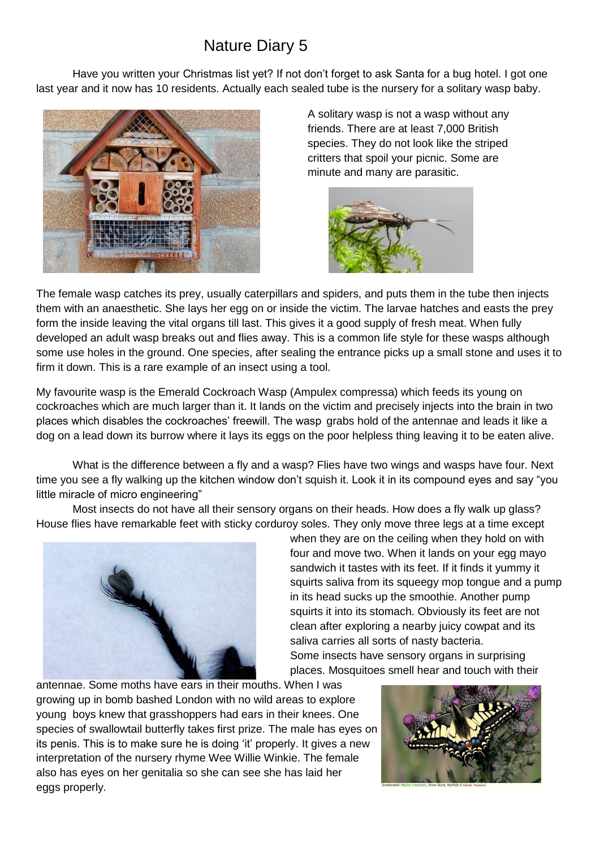## Nature Diary 5

Have you written your Christmas list yet? If not don't forget to ask Santa for a bug hotel. I got one last year and it now has 10 residents. Actually each sealed tube is the nursery for a solitary wasp baby.



A solitary wasp is not a wasp without any friends. There are at least 7,000 British species. They do not look like the striped critters that spoil your picnic. Some are minute and many are parasitic.



The female wasp catches its prey, usually caterpillars and spiders, and puts them in the tube then injects them with an anaesthetic. She lays her egg on or inside the victim. The larvae hatches and easts the prey form the inside leaving the vital organs till last. This gives it a good supply of fresh meat. When fully developed an adult wasp breaks out and flies away. This is a common life style for these wasps although some use holes in the ground. One species, after sealing the entrance picks up a small stone and uses it to firm it down. This is a rare example of an insect using a tool.

My favourite wasp is the Emerald Cockroach Wasp (Ampulex compressa) which feeds its young on cockroaches which are much larger than it. It lands on the victim and precisely injects into the brain in two places which disables the cockroaches' freewill. The wasp grabs hold of the antennae and leads it like a dog on a lead down its burrow where it lays its eggs on the poor helpless thing leaving it to be eaten alive.

What is the difference between a fly and a wasp? Flies have two wings and wasps have four. Next time you see a fly walking up the kitchen window don't squish it. Look it in its compound eyes and say "you little miracle of micro engineering"

Most insects do not have all their sensory organs on their heads. How does a fly walk up glass? House flies have remarkable feet with sticky corduroy soles. They only move three legs at a time except



when they are on the ceiling when they hold on with four and move two. When it lands on your egg mayo sandwich it tastes with its feet. If it finds it yummy it squirts saliva from its squeegy mop tongue and a pump in its head sucks up the smoothie. Another pump squirts it into its stomach. Obviously its feet are not clean after exploring a nearby juicy cowpat and its saliva carries all sorts of nasty bacteria. Some insects have sensory organs in surprising places. Mosquitoes smell hear and touch with their

antennae. Some moths have ears in their mouths. When I was growing up in bomb bashed London with no wild areas to explore young boys knew that grasshoppers had ears in their knees. One species of swallowtail butterfly takes first prize. The male has eyes on its penis. This is to make sure he is doing 'it' properly. It gives a new interpretation of the nursery rhyme Wee Willie Winkie. The female also has eyes on her genitalia so she can see she has laid her eggs properly.